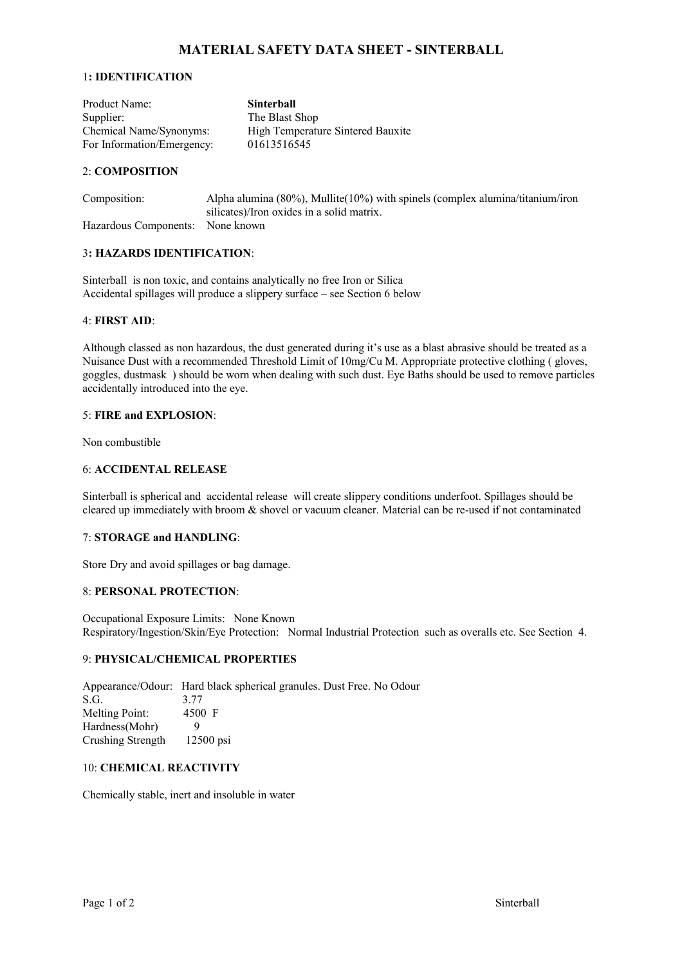# **MATERIAL SAFETY DATA SHEET - SINTERBALL**

### 1**: IDENTIFICATION**

| Product Name:              | <b>Sinterball</b>                 |
|----------------------------|-----------------------------------|
| Supplier:                  | The Blast Shop                    |
| Chemical Name/Synonyms:    | High Temperature Sintered Bauxite |
| For Information/Emergency: | 01613516545                       |

### 2: **COMPOSITION**

| Composition:                     | Alpha alumina $(80\%)$ , Mullite $(10\%)$ with spinels (complex alumina/titanium/iron |
|----------------------------------|---------------------------------------------------------------------------------------|
|                                  | silicates)/Iron oxides in a solid matrix.                                             |
| Hazardous Components: None known |                                                                                       |

### 3**: HAZARDS IDENTIFICATION**:

Sinterball is non toxic, and contains analytically no free Iron or Silica Accidental spillages will produce a slippery surface – see Section 6 below

# 4: **FIRST AID**:

Although classed as non hazardous, the dust generated during it's use as a blast abrasive should be treated as a Nuisance Dust with a recommended Threshold Limit of 10mg/Cu M. Appropriate protective clothing ( gloves, goggles, dustmask ) should be worn when dealing with such dust. Eye Baths should be used to remove particles accidentally introduced into the eye.

### 5: **FIRE and EXPLOSION**:

Non combustible

### 6: **ACCIDENTAL RELEASE**

Sinterball is spherical and accidental release will create slippery conditions underfoot. Spillages should be cleared up immediately with broom & shovel or vacuum cleaner. Material can be re-used if not contaminated

#### 7: **STORAGE and HANDLING**:

Store Dry and avoid spillages or bag damage.

### 8: **PERSONAL PROTECTION**:

Occupational Exposure Limits: None Known Respiratory/Ingestion/Skin/Eye Protection: Normal Industrial Protection such as overalls etc. See Section 4.

#### 9: **PHYSICAL/CHEMICAL PROPERTIES**

Appearance/Odour: Hard black spherical granules. Dust Free. No Odour S.G. 3.77 Melting Point: 4500 F Hardness(Mohr) 9 Crushing Strength 12500 psi

### 10: **CHEMICAL REACTIVITY**

Chemically stable, inert and insoluble in water